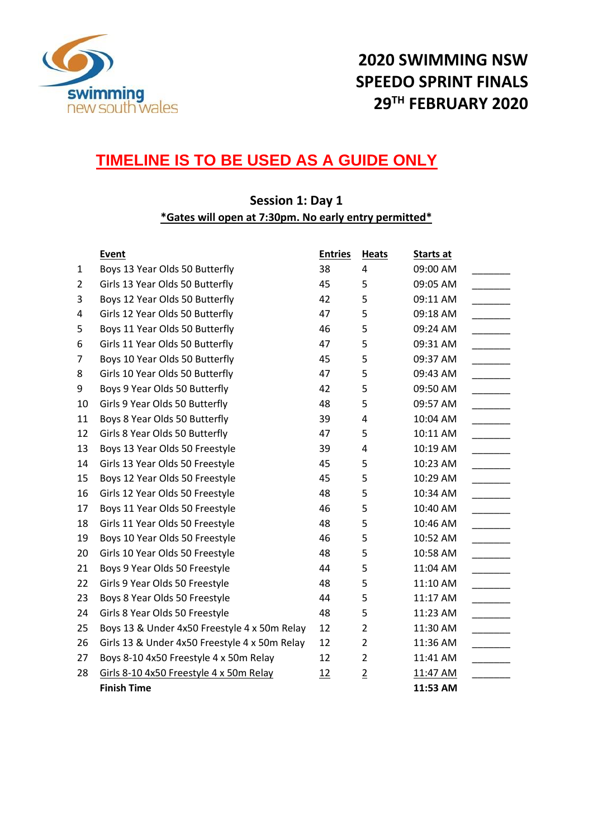

# **2020 SWIMMING NSW SPEEDO SPRINT FINALS TH FEBRUARY 2020**

### **TIMELINE IS TO BE USED AS A GUIDE ONLY**

#### **Session 1: Day 1 \*Gates will open at 7:30pm. No early entry permitted\***

|                | <b>Event</b>                                  | <b>Entries</b> | <b>Heats</b>   | Starts at |
|----------------|-----------------------------------------------|----------------|----------------|-----------|
| 1              | Boys 13 Year Olds 50 Butterfly                | 38             | 4              | 09:00 AM  |
| $\overline{2}$ | Girls 13 Year Olds 50 Butterfly               | 45             | 5              | 09:05 AM  |
| 3              | Boys 12 Year Olds 50 Butterfly                | 42             | 5              | 09:11 AM  |
| 4              | Girls 12 Year Olds 50 Butterfly               | 47             | 5              | 09:18 AM  |
| 5              | Boys 11 Year Olds 50 Butterfly                | 46             | 5              | 09:24 AM  |
| 6              | Girls 11 Year Olds 50 Butterfly               | 47             | 5              | 09:31 AM  |
| 7              | Boys 10 Year Olds 50 Butterfly                | 45             | 5              | 09:37 AM  |
| 8              | Girls 10 Year Olds 50 Butterfly               | 47             | 5              | 09:43 AM  |
| 9              | Boys 9 Year Olds 50 Butterfly                 | 42             | 5              | 09:50 AM  |
| 10             | Girls 9 Year Olds 50 Butterfly                | 48             | 5              | 09:57 AM  |
| 11             | Boys 8 Year Olds 50 Butterfly                 | 39             | 4              | 10:04 AM  |
| 12             | Girls 8 Year Olds 50 Butterfly                | 47             | 5              | 10:11 AM  |
| 13             | Boys 13 Year Olds 50 Freestyle                | 39             | 4              | 10:19 AM  |
| 14             | Girls 13 Year Olds 50 Freestyle               | 45             | 5              | 10:23 AM  |
| 15             | Boys 12 Year Olds 50 Freestyle                | 45             | 5              | 10:29 AM  |
| 16             | Girls 12 Year Olds 50 Freestyle               | 48             | 5              | 10:34 AM  |
| 17             | Boys 11 Year Olds 50 Freestyle                | 46             | 5              | 10:40 AM  |
| 18             | Girls 11 Year Olds 50 Freestyle               | 48             | 5              | 10:46 AM  |
| 19             | Boys 10 Year Olds 50 Freestyle                | 46             | 5              | 10:52 AM  |
| 20             | Girls 10 Year Olds 50 Freestyle               | 48             | 5              | 10:58 AM  |
| 21             | Boys 9 Year Olds 50 Freestyle                 | 44             | 5              | 11:04 AM  |
| 22             | Girls 9 Year Olds 50 Freestyle                | 48             | 5              | 11:10 AM  |
| 23             | Boys 8 Year Olds 50 Freestyle                 | 44             | 5              | 11:17 AM  |
| 24             | Girls 8 Year Olds 50 Freestyle                | 48             | 5              | 11:23 AM  |
| 25             | Boys 13 & Under 4x50 Freestyle 4 x 50m Relay  | 12             | $\overline{2}$ | 11:30 AM  |
| 26             | Girls 13 & Under 4x50 Freestyle 4 x 50m Relay | 12             | $\overline{2}$ | 11:36 AM  |
| 27             | Boys 8-10 4x50 Freestyle 4 x 50m Relay        | 12             | $\overline{2}$ | 11:41 AM  |
| 28             | Girls 8-10 4x50 Freestyle 4 x 50m Relay       | 12             | $\overline{2}$ | 11:47 AM  |
|                | <b>Finish Time</b>                            |                |                | 11:53 AM  |